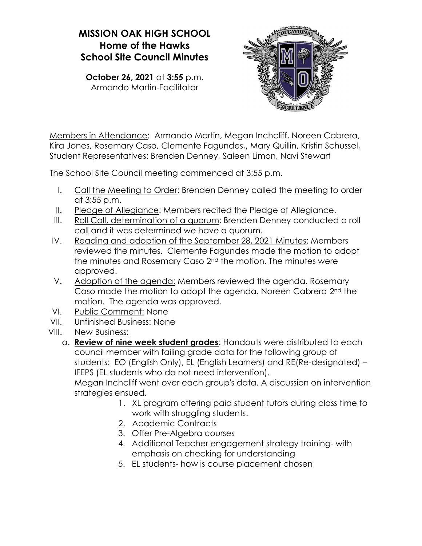## MISSION OAK HIGH SCHOOL Home of the Hawks School Site Council Minutes

October 26, 2021 at 3:55 p.m. Armando Martin-Facilitator



Members in Attendance: Armando Martin, Megan Inchcliff, Noreen Cabrera, Kira Jones, Rosemary Caso, Clemente Fagundes,, Mary Quillin, Kristin Schussel, Student Representatives: Brenden Denney, Saleen Limon, Navi Stewart

The School Site Council meeting commenced at 3:55 p.m.

- I. Call the Meeting to Order: Brenden Denney called the meeting to order at 3:55 p.m.
- II. Pledge of Allegiance: Members recited the Pledge of Allegiance.
- III. Roll Call, determination of a quorum: Brenden Denney conducted a roll call and it was determined we have a quorum.
- IV. Reading and adoption of the September 28, 2021 Minutes: Members reviewed the minutes. Clemente Fagundes made the motion to adopt the minutes and Rosemary Caso 2<sup>nd</sup> the motion. The minutes were approved.
- V. Adoption of the agenda: Members reviewed the agenda. Rosemary Caso made the motion to adopt the agenda. Noreen Cabrera 2nd the motion. The agenda was approved.
- VI. Public Comment: None
- VII. Unfinished Business: None
- VIII. New Business:
	- a. Review of nine week student grades: Handouts were distributed to each council member with failing grade data for the following group of students: EO (English Only), EL (English Learners) and RE(Re-designated) – IFEPS (EL students who do not need intervention).

Megan Inchcliff went over each group's data. A discussion on intervention strategies ensued.

- 1. XL program offering paid student tutors during class time to work with struggling students.
- 2. Academic Contracts
- 3. Offer Pre-Algebra courses
- 4. Additional Teacher engagement strategy training- with emphasis on checking for understanding
- 5. EL students- how is course placement chosen